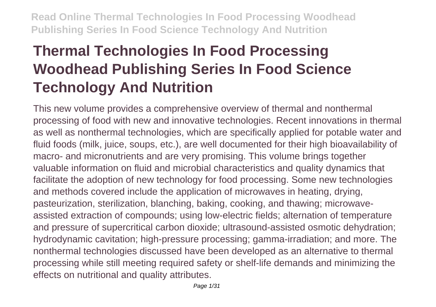# **Thermal Technologies In Food Processing Woodhead Publishing Series In Food Science Technology And Nutrition**

This new volume provides a comprehensive overview of thermal and nonthermal processing of food with new and innovative technologies. Recent innovations in thermal as well as nonthermal technologies, which are specifically applied for potable water and fluid foods (milk, juice, soups, etc.), are well documented for their high bioavailability of macro- and micronutrients and are very promising. This volume brings together valuable information on fluid and microbial characteristics and quality dynamics that facilitate the adoption of new technology for food processing. Some new technologies and methods covered include the application of microwaves in heating, drying, pasteurization, sterilization, blanching, baking, cooking, and thawing; microwaveassisted extraction of compounds; using low-electric fields; alternation of temperature and pressure of supercritical carbon dioxide; ultrasound-assisted osmotic dehydration; hydrodynamic cavitation; high-pressure processing; gamma-irradiation; and more. The nonthermal technologies discussed have been developed as an alternative to thermal processing while still meeting required safety or shelf-life demands and minimizing the effects on nutritional and quality attributes.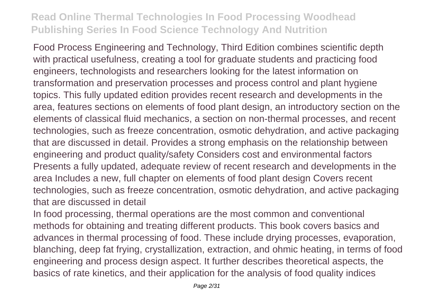Food Process Engineering and Technology, Third Edition combines scientific depth with practical usefulness, creating a tool for graduate students and practicing food engineers, technologists and researchers looking for the latest information on transformation and preservation processes and process control and plant hygiene topics. This fully updated edition provides recent research and developments in the area, features sections on elements of food plant design, an introductory section on the elements of classical fluid mechanics, a section on non-thermal processes, and recent technologies, such as freeze concentration, osmotic dehydration, and active packaging that are discussed in detail. Provides a strong emphasis on the relationship between engineering and product quality/safety Considers cost and environmental factors Presents a fully updated, adequate review of recent research and developments in the area Includes a new, full chapter on elements of food plant design Covers recent technologies, such as freeze concentration, osmotic dehydration, and active packaging that are discussed in detail

In food processing, thermal operations are the most common and conventional methods for obtaining and treating different products. This book covers basics and advances in thermal processing of food. These include drying processes, evaporation, blanching, deep fat frying, crystallization, extraction, and ohmic heating, in terms of food engineering and process design aspect. It further describes theoretical aspects, the basics of rate kinetics, and their application for the analysis of food quality indices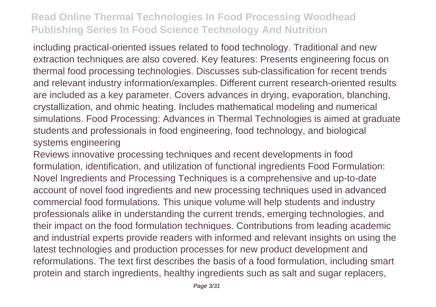including practical-oriented issues related to food technology. Traditional and new extraction techniques are also covered. Key features: Presents engineering focus on thermal food processing technologies. Discusses sub-classification for recent trends and relevant industry information/examples. Different current research-oriented results are included as a key parameter. Covers advances in drying, evaporation, blanching, crystallization, and ohmic heating. Includes mathematical modeling and numerical simulations. Food Processing: Advances in Thermal Technologies is aimed at graduate students and professionals in food engineering, food technology, and biological systems engineering

Reviews innovative processing techniques and recent developments in food formulation, identification, and utilization of functional ingredients Food Formulation: Novel Ingredients and Processing Techniques is a comprehensive and up-to-date account of novel food ingredients and new processing techniques used in advanced commercial food formulations. This unique volume will help students and industry professionals alike in understanding the current trends, emerging technologies, and their impact on the food formulation techniques. Contributions from leading academic and industrial experts provide readers with informed and relevant insights on using the latest technologies and production processes for new product development and reformulations. The text first describes the basis of a food formulation, including smart protein and starch ingredients, healthy ingredients such as salt and sugar replacers,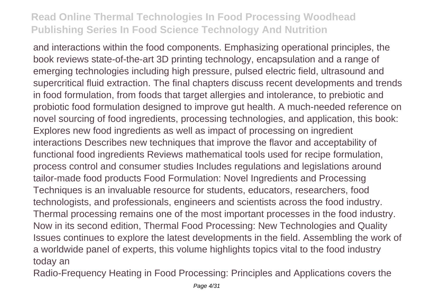and interactions within the food components. Emphasizing operational principles, the book reviews state-of-the-art 3D printing technology, encapsulation and a range of emerging technologies including high pressure, pulsed electric field, ultrasound and supercritical fluid extraction. The final chapters discuss recent developments and trends in food formulation, from foods that target allergies and intolerance, to prebiotic and probiotic food formulation designed to improve gut health. A much-needed reference on novel sourcing of food ingredients, processing technologies, and application, this book: Explores new food ingredients as well as impact of processing on ingredient interactions Describes new techniques that improve the flavor and acceptability of functional food ingredients Reviews mathematical tools used for recipe formulation, process control and consumer studies Includes regulations and legislations around tailor-made food products Food Formulation: Novel Ingredients and Processing Techniques is an invaluable resource for students, educators, researchers, food technologists, and professionals, engineers and scientists across the food industry. Thermal processing remains one of the most important processes in the food industry. Now in its second edition, Thermal Food Processing: New Technologies and Quality Issues continues to explore the latest developments in the field. Assembling the work of a worldwide panel of experts, this volume highlights topics vital to the food industry today an

Radio-Frequency Heating in Food Processing: Principles and Applications covers the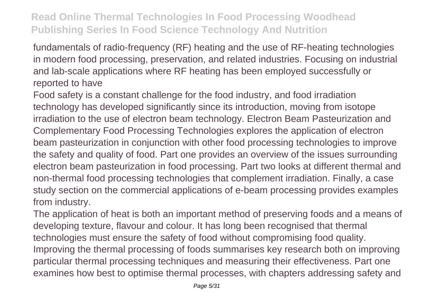fundamentals of radio-frequency (RF) heating and the use of RF-heating technologies in modern food processing, preservation, and related industries. Focusing on industrial and lab-scale applications where RF heating has been employed successfully or reported to have

Food safety is a constant challenge for the food industry, and food irradiation technology has developed significantly since its introduction, moving from isotope irradiation to the use of electron beam technology. Electron Beam Pasteurization and Complementary Food Processing Technologies explores the application of electron beam pasteurization in conjunction with other food processing technologies to improve the safety and quality of food. Part one provides an overview of the issues surrounding electron beam pasteurization in food processing. Part two looks at different thermal and non-thermal food processing technologies that complement irradiation. Finally, a case study section on the commercial applications of e-beam processing provides examples from industry.

The application of heat is both an important method of preserving foods and a means of developing texture, flavour and colour. It has long been recognised that thermal technologies must ensure the safety of food without compromising food quality. Improving the thermal processing of foods summarises key research both on improving particular thermal processing techniques and measuring their effectiveness. Part one examines how best to optimise thermal processes, with chapters addressing safety and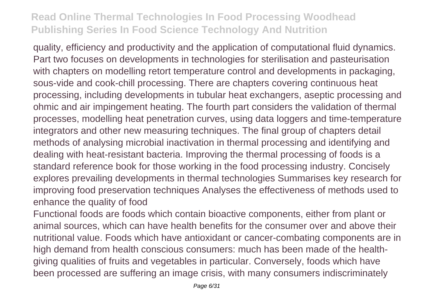quality, efficiency and productivity and the application of computational fluid dynamics. Part two focuses on developments in technologies for sterilisation and pasteurisation with chapters on modelling retort temperature control and developments in packaging, sous-vide and cook-chill processing. There are chapters covering continuous heat processing, including developments in tubular heat exchangers, aseptic processing and ohmic and air impingement heating. The fourth part considers the validation of thermal processes, modelling heat penetration curves, using data loggers and time-temperature integrators and other new measuring techniques. The final group of chapters detail methods of analysing microbial inactivation in thermal processing and identifying and dealing with heat-resistant bacteria. Improving the thermal processing of foods is a standard reference book for those working in the food processing industry. Concisely explores prevailing developments in thermal technologies Summarises key research for improving food preservation techniques Analyses the effectiveness of methods used to enhance the quality of food

Functional foods are foods which contain bioactive components, either from plant or animal sources, which can have health benefits for the consumer over and above their nutritional value. Foods which have antioxidant or cancer-combating components are in high demand from health conscious consumers: much has been made of the healthgiving qualities of fruits and vegetables in particular. Conversely, foods which have been processed are suffering an image crisis, with many consumers indiscriminately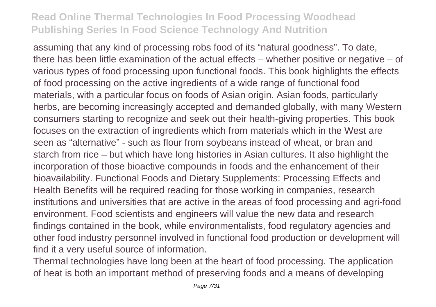assuming that any kind of processing robs food of its "natural goodness". To date, there has been little examination of the actual effects – whether positive or negative – of various types of food processing upon functional foods. This book highlights the effects of food processing on the active ingredients of a wide range of functional food materials, with a particular focus on foods of Asian origin. Asian foods, particularly herbs, are becoming increasingly accepted and demanded globally, with many Western consumers starting to recognize and seek out their health-giving properties. This book focuses on the extraction of ingredients which from materials which in the West are seen as "alternative" - such as flour from soybeans instead of wheat, or bran and starch from rice – but which have long histories in Asian cultures. It also highlight the incorporation of those bioactive compounds in foods and the enhancement of their bioavailability. Functional Foods and Dietary Supplements: Processing Effects and Health Benefits will be required reading for those working in companies, research institutions and universities that are active in the areas of food processing and agri-food environment. Food scientists and engineers will value the new data and research findings contained in the book, while environmentalists, food regulatory agencies and other food industry personnel involved in functional food production or development will find it a very useful source of information.

Thermal technologies have long been at the heart of food processing. The application of heat is both an important method of preserving foods and a means of developing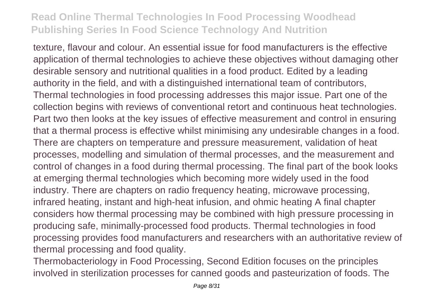texture, flavour and colour. An essential issue for food manufacturers is the effective application of thermal technologies to achieve these objectives without damaging other desirable sensory and nutritional qualities in a food product. Edited by a leading authority in the field, and with a distinguished international team of contributors, Thermal technologies in food processing addresses this major issue. Part one of the collection begins with reviews of conventional retort and continuous heat technologies. Part two then looks at the key issues of effective measurement and control in ensuring that a thermal process is effective whilst minimising any undesirable changes in a food. There are chapters on temperature and pressure measurement, validation of heat processes, modelling and simulation of thermal processes, and the measurement and control of changes in a food during thermal processing. The final part of the book looks at emerging thermal technologies which becoming more widely used in the food industry. There are chapters on radio frequency heating, microwave processing, infrared heating, instant and high-heat infusion, and ohmic heating A final chapter considers how thermal processing may be combined with high pressure processing in producing safe, minimally-processed food products. Thermal technologies in food processing provides food manufacturers and researchers with an authoritative review of thermal processing and food quality.

Thermobacteriology in Food Processing, Second Edition focuses on the principles involved in sterilization processes for canned goods and pasteurization of foods. The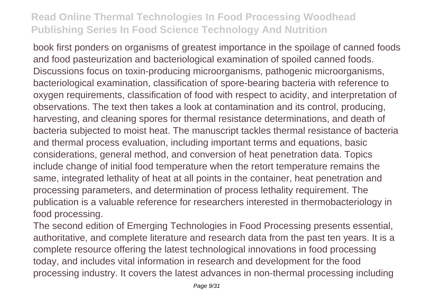book first ponders on organisms of greatest importance in the spoilage of canned foods and food pasteurization and bacteriological examination of spoiled canned foods. Discussions focus on toxin-producing microorganisms, pathogenic microorganisms, bacteriological examination, classification of spore-bearing bacteria with reference to oxygen requirements, classification of food with respect to acidity, and interpretation of observations. The text then takes a look at contamination and its control, producing, harvesting, and cleaning spores for thermal resistance determinations, and death of bacteria subjected to moist heat. The manuscript tackles thermal resistance of bacteria and thermal process evaluation, including important terms and equations, basic considerations, general method, and conversion of heat penetration data. Topics include change of initial food temperature when the retort temperature remains the same, integrated lethality of heat at all points in the container, heat penetration and processing parameters, and determination of process lethality requirement. The publication is a valuable reference for researchers interested in thermobacteriology in food processing.

The second edition of Emerging Technologies in Food Processing presents essential, authoritative, and complete literature and research data from the past ten years. It is a complete resource offering the latest technological innovations in food processing today, and includes vital information in research and development for the food processing industry. It covers the latest advances in non-thermal processing including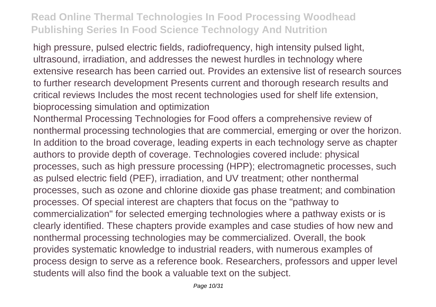high pressure, pulsed electric fields, radiofrequency, high intensity pulsed light, ultrasound, irradiation, and addresses the newest hurdles in technology where extensive research has been carried out. Provides an extensive list of research sources to further research development Presents current and thorough research results and critical reviews Includes the most recent technologies used for shelf life extension, bioprocessing simulation and optimization

Nonthermal Processing Technologies for Food offers a comprehensive review of nonthermal processing technologies that are commercial, emerging or over the horizon. In addition to the broad coverage, leading experts in each technology serve as chapter authors to provide depth of coverage. Technologies covered include: physical processes, such as high pressure processing (HPP); electromagnetic processes, such as pulsed electric field (PEF), irradiation, and UV treatment; other nonthermal processes, such as ozone and chlorine dioxide gas phase treatment; and combination processes. Of special interest are chapters that focus on the "pathway to commercialization" for selected emerging technologies where a pathway exists or is clearly identified. These chapters provide examples and case studies of how new and nonthermal processing technologies may be commercialized. Overall, the book provides systematic knowledge to industrial readers, with numerous examples of process design to serve as a reference book. Researchers, professors and upper level students will also find the book a valuable text on the subject.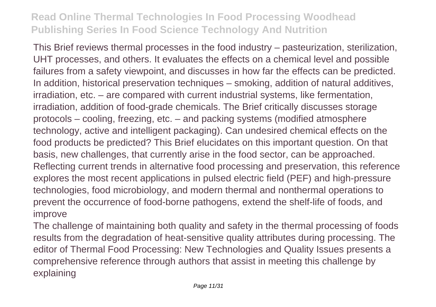This Brief reviews thermal processes in the food industry – pasteurization, sterilization, UHT processes, and others. It evaluates the effects on a chemical level and possible failures from a safety viewpoint, and discusses in how far the effects can be predicted. In addition, historical preservation techniques – smoking, addition of natural additives, irradiation, etc. – are compared with current industrial systems, like fermentation, irradiation, addition of food-grade chemicals. The Brief critically discusses storage protocols – cooling, freezing, etc. – and packing systems (modified atmosphere technology, active and intelligent packaging). Can undesired chemical effects on the food products be predicted? This Brief elucidates on this important question. On that basis, new challenges, that currently arise in the food sector, can be approached. Reflecting current trends in alternative food processing and preservation, this reference explores the most recent applications in pulsed electric field (PEF) and high-pressure technologies, food microbiology, and modern thermal and nonthermal operations to prevent the occurrence of food-borne pathogens, extend the shelf-life of foods, and improve

The challenge of maintaining both quality and safety in the thermal processing of foods results from the degradation of heat-sensitive quality attributes during processing. The editor of Thermal Food Processing: New Technologies and Quality Issues presents a comprehensive reference through authors that assist in meeting this challenge by explaining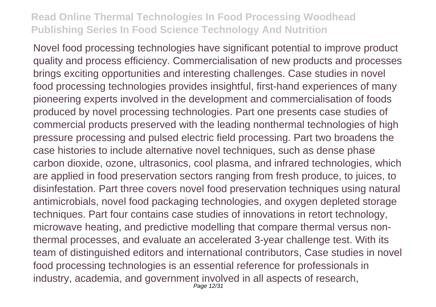Novel food processing technologies have significant potential to improve product quality and process efficiency. Commercialisation of new products and processes brings exciting opportunities and interesting challenges. Case studies in novel food processing technologies provides insightful, first-hand experiences of many pioneering experts involved in the development and commercialisation of foods produced by novel processing technologies. Part one presents case studies of commercial products preserved with the leading nonthermal technologies of high pressure processing and pulsed electric field processing. Part two broadens the case histories to include alternative novel techniques, such as dense phase carbon dioxide, ozone, ultrasonics, cool plasma, and infrared technologies, which are applied in food preservation sectors ranging from fresh produce, to juices, to disinfestation. Part three covers novel food preservation techniques using natural antimicrobials, novel food packaging technologies, and oxygen depleted storage techniques. Part four contains case studies of innovations in retort technology, microwave heating, and predictive modelling that compare thermal versus nonthermal processes, and evaluate an accelerated 3-year challenge test. With its team of distinguished editors and international contributors, Case studies in novel food processing technologies is an essential reference for professionals in industry, academia, and government involved in all aspects of research, Page 12/31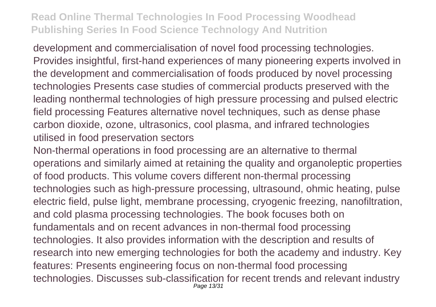development and commercialisation of novel food processing technologies. Provides insightful, first-hand experiences of many pioneering experts involved in the development and commercialisation of foods produced by novel processing technologies Presents case studies of commercial products preserved with the leading nonthermal technologies of high pressure processing and pulsed electric field processing Features alternative novel techniques, such as dense phase carbon dioxide, ozone, ultrasonics, cool plasma, and infrared technologies utilised in food preservation sectors

Non-thermal operations in food processing are an alternative to thermal operations and similarly aimed at retaining the quality and organoleptic properties of food products. This volume covers different non-thermal processing technologies such as high-pressure processing, ultrasound, ohmic heating, pulse electric field, pulse light, membrane processing, cryogenic freezing, nanofiltration, and cold plasma processing technologies. The book focuses both on fundamentals and on recent advances in non-thermal food processing technologies. It also provides information with the description and results of research into new emerging technologies for both the academy and industry. Key features: Presents engineering focus on non-thermal food processing technologies. Discusses sub-classification for recent trends and relevant industry Page 13/31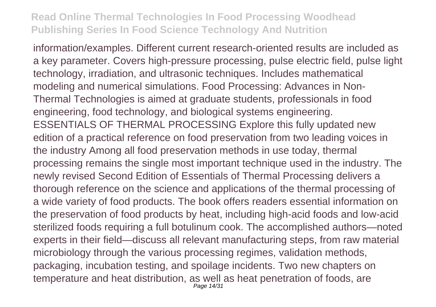information/examples. Different current research-oriented results are included as a key parameter. Covers high-pressure processing, pulse electric field, pulse light technology, irradiation, and ultrasonic techniques. Includes mathematical modeling and numerical simulations. Food Processing: Advances in Non-Thermal Technologies is aimed at graduate students, professionals in food engineering, food technology, and biological systems engineering. ESSENTIALS OF THERMAL PROCESSING Explore this fully updated new edition of a practical reference on food preservation from two leading voices in the industry Among all food preservation methods in use today, thermal processing remains the single most important technique used in the industry. The newly revised Second Edition of Essentials of Thermal Processing delivers a thorough reference on the science and applications of the thermal processing of a wide variety of food products. The book offers readers essential information on the preservation of food products by heat, including high-acid foods and low-acid sterilized foods requiring a full botulinum cook. The accomplished authors—noted experts in their field—discuss all relevant manufacturing steps, from raw material microbiology through the various processing regimes, validation methods, packaging, incubation testing, and spoilage incidents. Two new chapters on temperature and heat distribution, as well as heat penetration of foods, are Page 14/31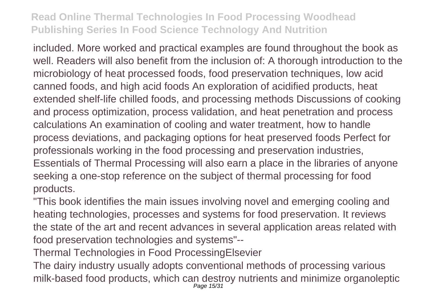included. More worked and practical examples are found throughout the book as well. Readers will also benefit from the inclusion of: A thorough introduction to the microbiology of heat processed foods, food preservation techniques, low acid canned foods, and high acid foods An exploration of acidified products, heat extended shelf-life chilled foods, and processing methods Discussions of cooking and process optimization, process validation, and heat penetration and process calculations An examination of cooling and water treatment, how to handle process deviations, and packaging options for heat preserved foods Perfect for professionals working in the food processing and preservation industries, Essentials of Thermal Processing will also earn a place in the libraries of anyone seeking a one-stop reference on the subject of thermal processing for food products.

"This book identifies the main issues involving novel and emerging cooling and heating technologies, processes and systems for food preservation. It reviews the state of the art and recent advances in several application areas related with food preservation technologies and systems"--

Thermal Technologies in Food ProcessingElsevier

The dairy industry usually adopts conventional methods of processing various milk-based food products, which can destroy nutrients and minimize organoleptic Page 15/31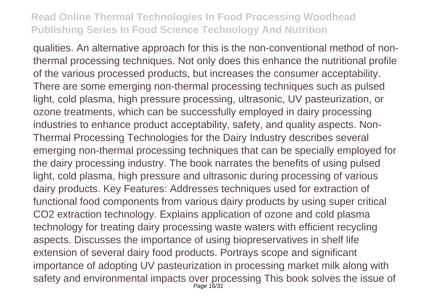qualities. An alternative approach for this is the non-conventional method of nonthermal processing techniques. Not only does this enhance the nutritional profile of the various processed products, but increases the consumer acceptability. There are some emerging non-thermal processing techniques such as pulsed light, cold plasma, high pressure processing, ultrasonic, UV pasteurization, or ozone treatments, which can be successfully employed in dairy processing industries to enhance product acceptability, safety, and quality aspects. Non-Thermal Processing Technologies for the Dairy Industry describes several emerging non-thermal processing techniques that can be specially employed for the dairy processing industry. The book narrates the benefits of using pulsed light, cold plasma, high pressure and ultrasonic during processing of various dairy products. Key Features: Addresses techniques used for extraction of functional food components from various dairy products by using super critical CO2 extraction technology. Explains application of ozone and cold plasma technology for treating dairy processing waste waters with efficient recycling aspects. Discusses the importance of using biopreservatives in shelf life extension of several dairy food products. Portrays scope and significant importance of adopting UV pasteurization in processing market milk along with safety and environmental impacts over processing This book solves the issue of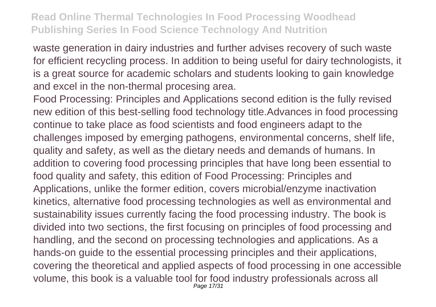waste generation in dairy industries and further advises recovery of such waste for efficient recycling process. In addition to being useful for dairy technologists, it is a great source for academic scholars and students looking to gain knowledge and excel in the non-thermal procesing area.

Food Processing: Principles and Applications second edition is the fully revised new edition of this best-selling food technology title.Advances in food processing continue to take place as food scientists and food engineers adapt to the challenges imposed by emerging pathogens, environmental concerns, shelf life, quality and safety, as well as the dietary needs and demands of humans. In addition to covering food processing principles that have long been essential to food quality and safety, this edition of Food Processing: Principles and Applications, unlike the former edition, covers microbial/enzyme inactivation kinetics, alternative food processing technologies as well as environmental and sustainability issues currently facing the food processing industry. The book is divided into two sections, the first focusing on principles of food processing and handling, and the second on processing technologies and applications. As a hands-on guide to the essential processing principles and their applications, covering the theoretical and applied aspects of food processing in one accessible volume, this book is a valuable tool for food industry professionals across all Page 17/31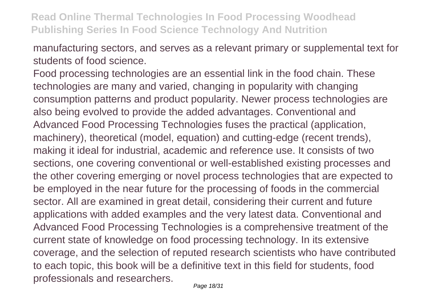manufacturing sectors, and serves as a relevant primary or supplemental text for students of food science.

Food processing technologies are an essential link in the food chain. These technologies are many and varied, changing in popularity with changing consumption patterns and product popularity. Newer process technologies are also being evolved to provide the added advantages. Conventional and Advanced Food Processing Technologies fuses the practical (application, machinery), theoretical (model, equation) and cutting-edge (recent trends), making it ideal for industrial, academic and reference use. It consists of two sections, one covering conventional or well-established existing processes and the other covering emerging or novel process technologies that are expected to be employed in the near future for the processing of foods in the commercial sector. All are examined in great detail, considering their current and future applications with added examples and the very latest data. Conventional and Advanced Food Processing Technologies is a comprehensive treatment of the current state of knowledge on food processing technology. In its extensive coverage, and the selection of reputed research scientists who have contributed to each topic, this book will be a definitive text in this field for students, food professionals and researchers.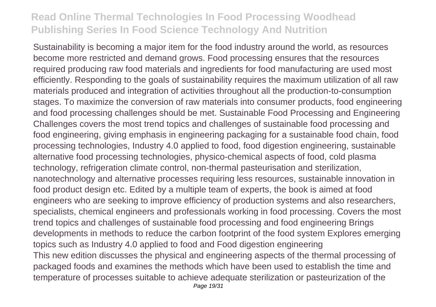Sustainability is becoming a major item for the food industry around the world, as resources become more restricted and demand grows. Food processing ensures that the resources required producing raw food materials and ingredients for food manufacturing are used most efficiently. Responding to the goals of sustainability requires the maximum utilization of all raw materials produced and integration of activities throughout all the production-to-consumption stages. To maximize the conversion of raw materials into consumer products, food engineering and food processing challenges should be met. Sustainable Food Processing and Engineering Challenges covers the most trend topics and challenges of sustainable food processing and food engineering, giving emphasis in engineering packaging for a sustainable food chain, food processing technologies, Industry 4.0 applied to food, food digestion engineering, sustainable alternative food processing technologies, physico-chemical aspects of food, cold plasma technology, refrigeration climate control, non-thermal pasteurisation and sterilization, nanotechnology and alternative processes requiring less resources, sustainable innovation in food product design etc. Edited by a multiple team of experts, the book is aimed at food engineers who are seeking to improve efficiency of production systems and also researchers, specialists, chemical engineers and professionals working in food processing. Covers the most trend topics and challenges of sustainable food processing and food engineering Brings developments in methods to reduce the carbon footprint of the food system Explores emerging topics such as Industry 4.0 applied to food and Food digestion engineering This new edition discusses the physical and engineering aspects of the thermal processing of packaged foods and examines the methods which have been used to establish the time and temperature of processes suitable to achieve adequate sterilization or pasteurization of the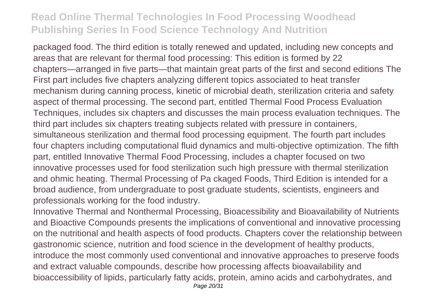packaged food. The third edition is totally renewed and updated, including new concepts and areas that are relevant for thermal food processing: This edition is formed by 22 chapters—arranged in five parts—that maintain great parts of the first and second editions The First part includes five chapters analyzing different topics associated to heat transfer mechanism during canning process, kinetic of microbial death, sterilization criteria and safety aspect of thermal processing. The second part, entitled Thermal Food Process Evaluation Techniques, includes six chapters and discusses the main process evaluation techniques. The third part includes six chapters treating subjects related with pressure in containers, simultaneous sterilization and thermal food processing equipment. The fourth part includes four chapters including computational fluid dynamics and multi-objective optimization. The fifth part, entitled Innovative Thermal Food Processing, includes a chapter focused on two innovative processes used for food sterilization such high pressure with thermal sterilization and ohmic heating. Thermal Processing of Pa ckaged Foods, Third Edition is intended for a broad audience, from undergraduate to post graduate students, scientists, engineers and professionals working for the food industry.

Innovative Thermal and Nonthermal Processing, Bioacessibility and Bioavailability of Nutrients and Bioactive Compounds presents the implications of conventional and innovative processing on the nutritional and health aspects of food products. Chapters cover the relationship between gastronomic science, nutrition and food science in the development of healthy products, introduce the most commonly used conventional and innovative approaches to preserve foods and extract valuable compounds, describe how processing affects bioavailability and bioaccessibility of lipids, particularly fatty acids, protein, amino acids and carbohydrates, and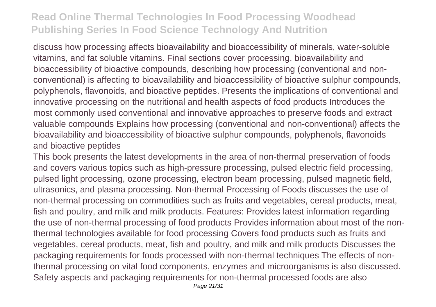discuss how processing affects bioavailability and bioaccessibility of minerals, water-soluble vitamins, and fat soluble vitamins. Final sections cover processing, bioavailability and bioaccessibility of bioactive compounds, describing how processing (conventional and nonconventional) is affecting to bioavailability and bioaccessibility of bioactive sulphur compounds, polyphenols, flavonoids, and bioactive peptides. Presents the implications of conventional and innovative processing on the nutritional and health aspects of food products Introduces the most commonly used conventional and innovative approaches to preserve foods and extract valuable compounds Explains how processing (conventional and non-conventional) affects the bioavailability and bioaccessibility of bioactive sulphur compounds, polyphenols, flavonoids and bioactive peptides

This book presents the latest developments in the area of non-thermal preservation of foods and covers various topics such as high-pressure processing, pulsed electric field processing, pulsed light processing, ozone processing, electron beam processing, pulsed magnetic field, ultrasonics, and plasma processing. Non-thermal Processing of Foods discusses the use of non-thermal processing on commodities such as fruits and vegetables, cereal products, meat, fish and poultry, and milk and milk products. Features: Provides latest information regarding the use of non-thermal processing of food products Provides information about most of the nonthermal technologies available for food processing Covers food products such as fruits and vegetables, cereal products, meat, fish and poultry, and milk and milk products Discusses the packaging requirements for foods processed with non-thermal techniques The effects of nonthermal processing on vital food components, enzymes and microorganisms is also discussed. Safety aspects and packaging requirements for non-thermal processed foods are also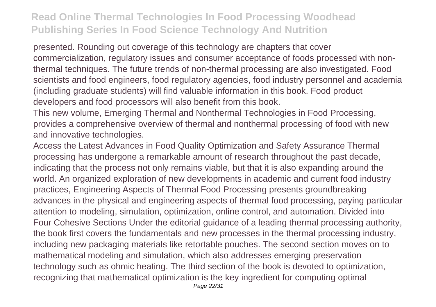presented. Rounding out coverage of this technology are chapters that cover commercialization, regulatory issues and consumer acceptance of foods processed with nonthermal techniques. The future trends of non-thermal processing are also investigated. Food scientists and food engineers, food regulatory agencies, food industry personnel and academia (including graduate students) will find valuable information in this book. Food product developers and food processors will also benefit from this book.

This new volume, Emerging Thermal and Nonthermal Technologies in Food Processing, provides a comprehensive overview of thermal and nonthermal processing of food with new and innovative technologies.

Access the Latest Advances in Food Quality Optimization and Safety Assurance Thermal processing has undergone a remarkable amount of research throughout the past decade, indicating that the process not only remains viable, but that it is also expanding around the world. An organized exploration of new developments in academic and current food industry practices, Engineering Aspects of Thermal Food Processing presents groundbreaking advances in the physical and engineering aspects of thermal food processing, paying particular attention to modeling, simulation, optimization, online control, and automation. Divided into Four Cohesive Sections Under the editorial guidance of a leading thermal processing authority, the book first covers the fundamentals and new processes in the thermal processing industry, including new packaging materials like retortable pouches. The second section moves on to mathematical modeling and simulation, which also addresses emerging preservation technology such as ohmic heating. The third section of the book is devoted to optimization, recognizing that mathematical optimization is the key ingredient for computing optimal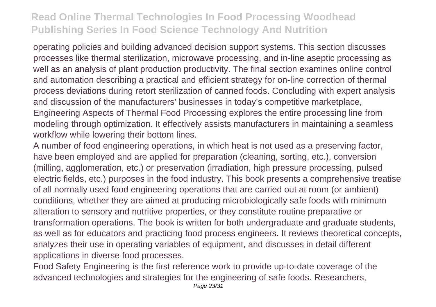operating policies and building advanced decision support systems. This section discusses processes like thermal sterilization, microwave processing, and in-line aseptic processing as well as an analysis of plant production productivity. The final section examines online control and automation describing a practical and efficient strategy for on-line correction of thermal process deviations during retort sterilization of canned foods. Concluding with expert analysis and discussion of the manufacturers' businesses in today's competitive marketplace, Engineering Aspects of Thermal Food Processing explores the entire processing line from modeling through optimization. It effectively assists manufacturers in maintaining a seamless workflow while lowering their bottom lines.

A number of food engineering operations, in which heat is not used as a preserving factor, have been employed and are applied for preparation (cleaning, sorting, etc.), conversion (milling, agglomeration, etc.) or preservation (irradiation, high pressure processing, pulsed electric fields, etc.) purposes in the food industry. This book presents a comprehensive treatise of all normally used food engineering operations that are carried out at room (or ambient) conditions, whether they are aimed at producing microbiologically safe foods with minimum alteration to sensory and nutritive properties, or they constitute routine preparative or transformation operations. The book is written for both undergraduate and graduate students, as well as for educators and practicing food process engineers. It reviews theoretical concepts, analyzes their use in operating variables of equipment, and discusses in detail different applications in diverse food processes.

Food Safety Engineering is the first reference work to provide up-to-date coverage of the advanced technologies and strategies for the engineering of safe foods. Researchers,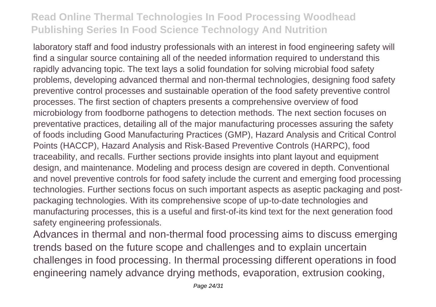laboratory staff and food industry professionals with an interest in food engineering safety will find a singular source containing all of the needed information required to understand this rapidly advancing topic. The text lays a solid foundation for solving microbial food safety problems, developing advanced thermal and non-thermal technologies, designing food safety preventive control processes and sustainable operation of the food safety preventive control processes. The first section of chapters presents a comprehensive overview of food microbiology from foodborne pathogens to detection methods. The next section focuses on preventative practices, detailing all of the major manufacturing processes assuring the safety of foods including Good Manufacturing Practices (GMP), Hazard Analysis and Critical Control Points (HACCP), Hazard Analysis and Risk-Based Preventive Controls (HARPC), food traceability, and recalls. Further sections provide insights into plant layout and equipment design, and maintenance. Modeling and process design are covered in depth. Conventional and novel preventive controls for food safety include the current and emerging food processing technologies. Further sections focus on such important aspects as aseptic packaging and postpackaging technologies. With its comprehensive scope of up-to-date technologies and manufacturing processes, this is a useful and first-of-its kind text for the next generation food safety engineering professionals.

Advances in thermal and non-thermal food processing aims to discuss emerging trends based on the future scope and challenges and to explain uncertain challenges in food processing. In thermal processing different operations in food engineering namely advance drying methods, evaporation, extrusion cooking,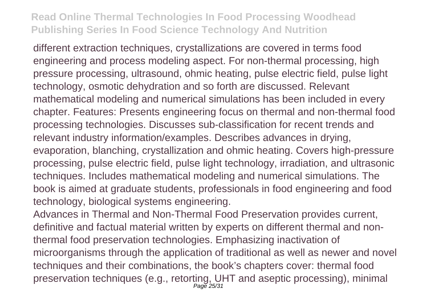different extraction techniques, crystallizations are covered in terms food engineering and process modeling aspect. For non-thermal processing, high pressure processing, ultrasound, ohmic heating, pulse electric field, pulse light technology, osmotic dehydration and so forth are discussed. Relevant mathematical modeling and numerical simulations has been included in every chapter. Features: Presents engineering focus on thermal and non-thermal food processing technologies. Discusses sub-classification for recent trends and relevant industry information/examples. Describes advances in drying, evaporation, blanching, crystallization and ohmic heating. Covers high-pressure processing, pulse electric field, pulse light technology, irradiation, and ultrasonic techniques. Includes mathematical modeling and numerical simulations. The book is aimed at graduate students, professionals in food engineering and food technology, biological systems engineering.

Advances in Thermal and Non-Thermal Food Preservation provides current, definitive and factual material written by experts on different thermal and nonthermal food preservation technologies. Emphasizing inactivation of microorganisms through the application of traditional as well as newer and novel techniques and their combinations, the book's chapters cover: thermal food preservation techniques (e.g., retorting, UHT and aseptic processing), minimal Page 25/31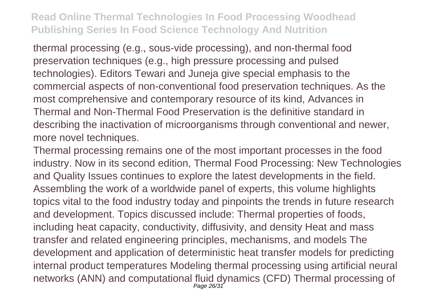thermal processing (e.g., sous-vide processing), and non-thermal food preservation techniques (e.g., high pressure processing and pulsed technologies). Editors Tewari and Juneja give special emphasis to the commercial aspects of non-conventional food preservation techniques. As the most comprehensive and contemporary resource of its kind, Advances in Thermal and Non-Thermal Food Preservation is the definitive standard in describing the inactivation of microorganisms through conventional and newer, more novel techniques.

Thermal processing remains one of the most important processes in the food industry. Now in its second edition, Thermal Food Processing: New Technologies and Quality Issues continues to explore the latest developments in the field. Assembling the work of a worldwide panel of experts, this volume highlights topics vital to the food industry today and pinpoints the trends in future research and development. Topics discussed include: Thermal properties of foods, including heat capacity, conductivity, diffusivity, and density Heat and mass transfer and related engineering principles, mechanisms, and models The development and application of deterministic heat transfer models for predicting internal product temperatures Modeling thermal processing using artificial neural networks (ANN) and computational fluid dynamics (CFD) Thermal processing of Page 26/31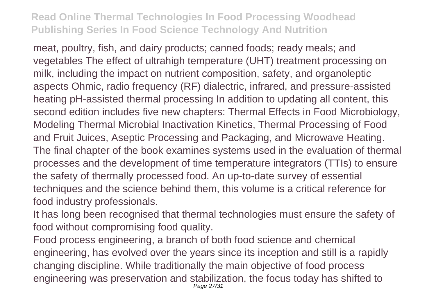meat, poultry, fish, and dairy products; canned foods; ready meals; and vegetables The effect of ultrahigh temperature (UHT) treatment processing on milk, including the impact on nutrient composition, safety, and organoleptic aspects Ohmic, radio frequency (RF) dialectric, infrared, and pressure-assisted heating pH-assisted thermal processing In addition to updating all content, this second edition includes five new chapters: Thermal Effects in Food Microbiology, Modeling Thermal Microbial Inactivation Kinetics, Thermal Processing of Food and Fruit Juices, Aseptic Processing and Packaging, and Microwave Heating. The final chapter of the book examines systems used in the evaluation of thermal processes and the development of time temperature integrators (TTIs) to ensure the safety of thermally processed food. An up-to-date survey of essential techniques and the science behind them, this volume is a critical reference for food industry professionals.

It has long been recognised that thermal technologies must ensure the safety of food without compromising food quality.

Food process engineering, a branch of both food science and chemical engineering, has evolved over the years since its inception and still is a rapidly changing discipline. While traditionally the main objective of food process engineering was preservation and stabilization, the focus today has shifted to Page 27/31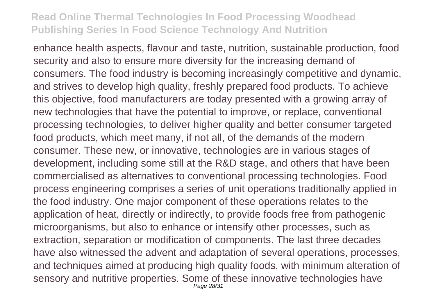enhance health aspects, flavour and taste, nutrition, sustainable production, food security and also to ensure more diversity for the increasing demand of consumers. The food industry is becoming increasingly competitive and dynamic, and strives to develop high quality, freshly prepared food products. To achieve this objective, food manufacturers are today presented with a growing array of new technologies that have the potential to improve, or replace, conventional processing technologies, to deliver higher quality and better consumer targeted food products, which meet many, if not all, of the demands of the modern consumer. These new, or innovative, technologies are in various stages of development, including some still at the R&D stage, and others that have been commercialised as alternatives to conventional processing technologies. Food process engineering comprises a series of unit operations traditionally applied in the food industry. One major component of these operations relates to the application of heat, directly or indirectly, to provide foods free from pathogenic microorganisms, but also to enhance or intensify other processes, such as extraction, separation or modification of components. The last three decades have also witnessed the advent and adaptation of several operations, processes, and techniques aimed at producing high quality foods, with minimum alteration of sensory and nutritive properties. Some of these innovative technologies have Page 28/31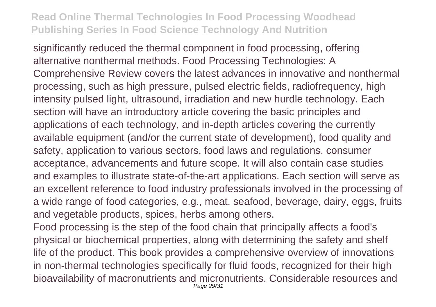significantly reduced the thermal component in food processing, offering alternative nonthermal methods. Food Processing Technologies: A Comprehensive Review covers the latest advances in innovative and nonthermal processing, such as high pressure, pulsed electric fields, radiofrequency, high intensity pulsed light, ultrasound, irradiation and new hurdle technology. Each section will have an introductory article covering the basic principles and applications of each technology, and in-depth articles covering the currently available equipment (and/or the current state of development), food quality and safety, application to various sectors, food laws and regulations, consumer acceptance, advancements and future scope. It will also contain case studies and examples to illustrate state-of-the-art applications. Each section will serve as an excellent reference to food industry professionals involved in the processing of a wide range of food categories, e.g., meat, seafood, beverage, dairy, eggs, fruits and vegetable products, spices, herbs among others.

Food processing is the step of the food chain that principally affects a food's physical or biochemical properties, along with determining the safety and shelf life of the product. This book provides a comprehensive overview of innovations in non-thermal technologies specifically for fluid foods, recognized for their high bioavailability of macronutrients and micronutrients. Considerable resources and Page 29/31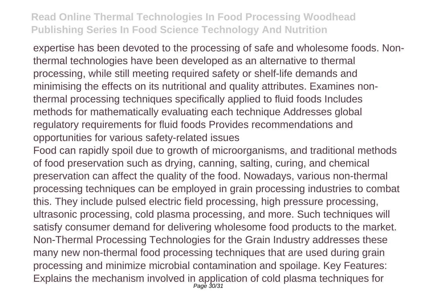expertise has been devoted to the processing of safe and wholesome foods. Nonthermal technologies have been developed as an alternative to thermal processing, while still meeting required safety or shelf-life demands and minimising the effects on its nutritional and quality attributes. Examines nonthermal processing techniques specifically applied to fluid foods Includes methods for mathematically evaluating each technique Addresses global regulatory requirements for fluid foods Provides recommendations and opportunities for various safety-related issues

Food can rapidly spoil due to growth of microorganisms, and traditional methods of food preservation such as drying, canning, salting, curing, and chemical preservation can affect the quality of the food. Nowadays, various non-thermal processing techniques can be employed in grain processing industries to combat this. They include pulsed electric field processing, high pressure processing, ultrasonic processing, cold plasma processing, and more. Such techniques will satisfy consumer demand for delivering wholesome food products to the market. Non-Thermal Processing Technologies for the Grain Industry addresses these many new non-thermal food processing techniques that are used during grain processing and minimize microbial contamination and spoilage. Key Features: Explains the mechanism involved in application of cold plasma techniques for<br>  $P_{\text{age}}$   $\frac{30}{31}$